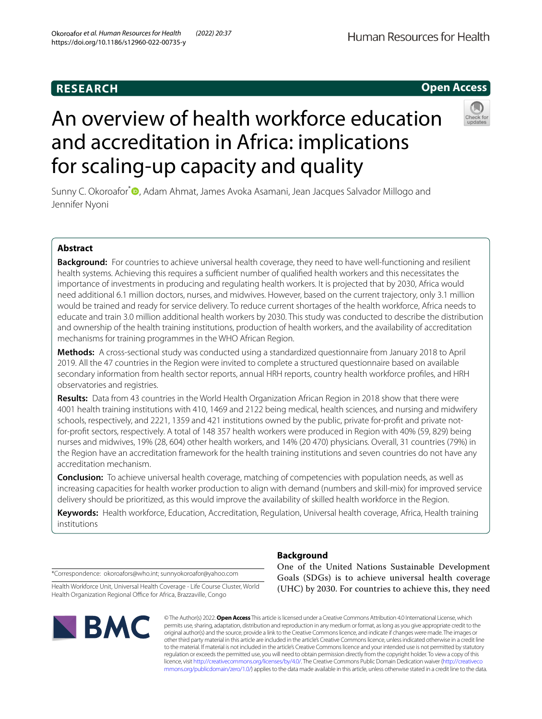# **RESEARCH**

# An overview of health workforce education and accreditation in Africa: implications for scaling-up capacity and quality

Sunny C. Okoroafor<sup>\*</sup><sup>®</sup>[,](http://orcid.org/0000-0003-4690-485X) Adam Ahmat, James Avoka Asamani, Jean Jacques Salvador Millogo and Jennifer Nyoni

# **Abstract**

**Background:** For countries to achieve universal health coverage, they need to have well-functioning and resilient health systems. Achieving this requires a sufficient number of qualified health workers and this necessitates the importance of investments in producing and regulating health workers. It is projected that by 2030, Africa would need additional 6.1 million doctors, nurses, and midwives. However, based on the current trajectory, only 3.1 million would be trained and ready for service delivery. To reduce current shortages of the health workforce, Africa needs to educate and train 3.0 million additional health workers by 2030. This study was conducted to describe the distribution and ownership of the health training institutions, production of health workers, and the availability of accreditation mechanisms for training programmes in the WHO African Region.

**Methods:** A cross-sectional study was conducted using a standardized questionnaire from January 2018 to April 2019. All the 47 countries in the Region were invited to complete a structured questionnaire based on available secondary information from health sector reports, annual HRH reports, country health workforce profles, and HRH observatories and registries.

**Results:** Data from 43 countries in the World Health Organization African Region in 2018 show that there were 4001 health training institutions with 410, 1469 and 2122 being medical, health sciences, and nursing and midwifery schools, respectively, and 2221, 1359 and 421 institutions owned by the public, private for-proft and private notfor-proft sectors, respectively. A total of 148 357 health workers were produced in Region with 40% (59, 829) being nurses and midwives, 19% (28, 604) other health workers, and 14% (20 470) physicians. Overall, 31 countries (79%) in the Region have an accreditation framework for the health training institutions and seven countries do not have any accreditation mechanism.

**Conclusion:** To achieve universal health coverage, matching of competencies with population needs, as well as increasing capacities for health worker production to align with demand (numbers and skill-mix) for improved service delivery should be prioritized, as this would improve the availability of skilled health workforce in the Region.

**Keywords:** Health workforce, Education, Accreditation, Regulation, Universal health coverage, Africa, Health training institutions

\*Correspondence: okoroafors@who.int; sunnyokoroafor@yahoo.com

BMC

Health Workforce Unit, Universal Health Coverage - Life Course Cluster, World Health Organization Regional Office for Africa, Brazzaville, Congo

> © The Author(s) 2022. **Open Access** This article is licensed under a Creative Commons Attribution 4.0 International License, which permits use, sharing, adaptation, distribution and reproduction in any medium or format, as long as you give appropriate credit to the original author(s) and the source, provide a link to the Creative Commons licence, and indicate if changes were made. The images or other third party material in this article are included in the article's Creative Commons licence, unless indicated otherwise in a credit line to the material. If material is not included in the article's Creative Commons licence and your intended use is not permitted by statutory regulation or exceeds the permitted use, you will need to obtain permission directly from the copyright holder. To view a copy of this licence, visit [http://creativecommons.org/licenses/by/4.0/.](http://creativecommons.org/licenses/by/4.0/) The Creative Commons Public Domain Dedication waiver ([http://creativeco](http://creativecommons.org/publicdomain/zero/1.0/) [mmons.org/publicdomain/zero/1.0/](http://creativecommons.org/publicdomain/zero/1.0/)) applies to the data made available in this article, unless otherwise stated in a credit line to the data.

# **Background**

One of the United Nations Sustainable Development Goals (SDGs) is to achieve universal health coverage (UHC) by 2030. For countries to achieve this, they need

# **Open Access**



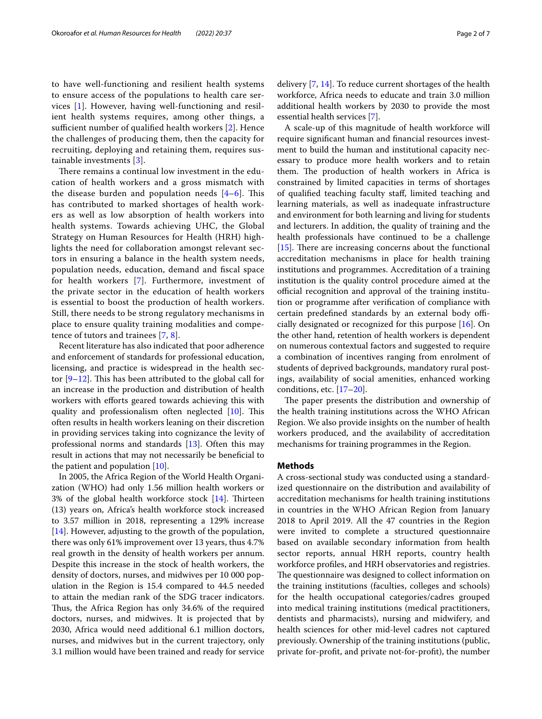to have well-functioning and resilient health systems to ensure access of the populations to health care services [[1\]](#page-6-0). However, having well-functioning and resilient health systems requires, among other things, a sufficient number of qualified health workers  $[2]$  $[2]$ . Hence the challenges of producing them, then the capacity for recruiting, deploying and retaining them, requires sustainable investments [\[3](#page-6-2)].

There remains a continual low investment in the education of health workers and a gross mismatch with the disease burden and population needs  $[4-6]$  $[4-6]$ . This has contributed to marked shortages of health workers as well as low absorption of health workers into health systems. Towards achieving UHC, the Global Strategy on Human Resources for Health (HRH) highlights the need for collaboration amongst relevant sectors in ensuring a balance in the health system needs, population needs, education, demand and fscal space for health workers [\[7](#page-6-5)]. Furthermore, investment of the private sector in the education of health workers is essential to boost the production of health workers. Still, there needs to be strong regulatory mechanisms in place to ensure quality training modalities and competence of tutors and trainees [[7,](#page-6-5) [8](#page-6-6)].

Recent literature has also indicated that poor adherence and enforcement of standards for professional education, licensing, and practice is widespread in the health sector  $[9-12]$  $[9-12]$ . This has been attributed to the global call for an increase in the production and distribution of health workers with efforts geared towards achieving this with quality and professionalism often neglected  $[10]$  $[10]$ . This often results in health workers leaning on their discretion in providing services taking into cognizance the levity of professional norms and standards [[13\]](#page-6-10). Often this may result in actions that may not necessarily be benefcial to the patient and population [[10](#page-6-9)].

In 2005, the Africa Region of the World Health Organization (WHO) had only 1.56 million health workers or 3% of the global health workforce stock  $[14]$  $[14]$ . Thirteen (13) years on, Africa's health workforce stock increased to 3.57 million in 2018, representing a 129% increase [[14\]](#page-6-11). However, adjusting to the growth of the population, there was only 61% improvement over 13 years, thus 4.7% real growth in the density of health workers per annum. Despite this increase in the stock of health workers, the density of doctors, nurses, and midwives per 10 000 population in the Region is 15.4 compared to 44.5 needed to attain the median rank of the SDG tracer indicators. Thus, the Africa Region has only 34.6% of the required doctors, nurses, and midwives. It is projected that by 2030, Africa would need additional 6.1 million doctors, nurses, and midwives but in the current trajectory, only 3.1 million would have been trained and ready for service delivery [[7,](#page-6-5) [14](#page-6-11)]. To reduce current shortages of the health workforce, Africa needs to educate and train 3.0 million additional health workers by 2030 to provide the most essential health services [[7\]](#page-6-5).

A scale-up of this magnitude of health workforce will require signifcant human and fnancial resources investment to build the human and institutional capacity necessary to produce more health workers and to retain them. The production of health workers in Africa is constrained by limited capacities in terms of shortages of qualifed teaching faculty staf, limited teaching and learning materials, as well as inadequate infrastructure and environment for both learning and living for students and lecturers. In addition, the quality of training and the health professionals have continued to be a challenge  $[15]$  $[15]$ . There are increasing concerns about the functional accreditation mechanisms in place for health training institutions and programmes. Accreditation of a training institution is the quality control procedure aimed at the official recognition and approval of the training institution or programme after verifcation of compliance with certain predefined standards by an external body officially designated or recognized for this purpose [\[16](#page-6-13)]. On the other hand, retention of health workers is dependent on numerous contextual factors and suggested to require a combination of incentives ranging from enrolment of students of deprived backgrounds, mandatory rural postings, availability of social amenities, enhanced working conditions, etc. [[17–](#page-6-14)[20](#page-6-15)].

The paper presents the distribution and ownership of the health training institutions across the WHO African Region. We also provide insights on the number of health workers produced, and the availability of accreditation mechanisms for training programmes in the Region.

#### **Methods**

A cross-sectional study was conducted using a standardized questionnaire on the distribution and availability of accreditation mechanisms for health training institutions in countries in the WHO African Region from January 2018 to April 2019. All the 47 countries in the Region were invited to complete a structured questionnaire based on available secondary information from health sector reports, annual HRH reports, country health workforce profles, and HRH observatories and registries. The questionnaire was designed to collect information on the training institutions (faculties, colleges and schools) for the health occupational categories/cadres grouped into medical training institutions (medical practitioners, dentists and pharmacists), nursing and midwifery, and health sciences for other mid-level cadres not captured previously. Ownership of the training institutions (public, private for-proft, and private not-for-proft), the number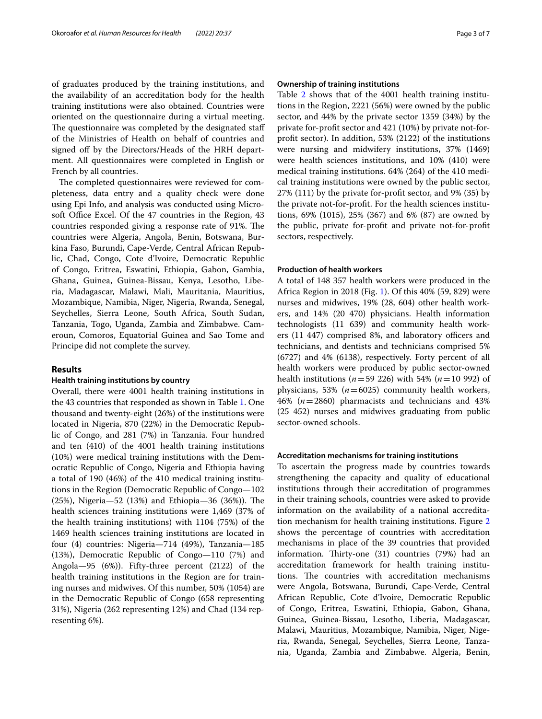of graduates produced by the training institutions, and the availability of an accreditation body for the health training institutions were also obtained. Countries were oriented on the questionnaire during a virtual meeting. The questionnaire was completed by the designated staff of the Ministries of Health on behalf of countries and signed off by the Directors/Heads of the HRH department. All questionnaires were completed in English or French by all countries.

The completed questionnaires were reviewed for completeness, data entry and a quality check were done using Epi Info, and analysis was conducted using Microsoft Office Excel. Of the 47 countries in the Region, 43 countries responded giving a response rate of 91%. The countries were Algeria, Angola, Benin, Botswana, Burkina Faso, Burundi, Cape-Verde, Central African Republic, Chad, Congo, Cote d'Ivoire, Democratic Republic of Congo, Eritrea, Eswatini, Ethiopia, Gabon, Gambia, Ghana, Guinea, Guinea-Bissau, Kenya, Lesotho, Liberia, Madagascar, Malawi, Mali, Mauritania, Mauritius, Mozambique, Namibia, Niger, Nigeria, Rwanda, Senegal, Seychelles, Sierra Leone, South Africa, South Sudan, Tanzania, Togo, Uganda, Zambia and Zimbabwe. Cameroun, Comoros, Equatorial Guinea and Sao Tome and Principe did not complete the survey.

#### **Results**

#### **Health training institutions by country**

Overall, there were 4001 health training institutions in the 43 countries that responded as shown in Table [1](#page-3-0). One thousand and twenty-eight (26%) of the institutions were located in Nigeria, 870 (22%) in the Democratic Republic of Congo, and 281 (7%) in Tanzania. Four hundred and ten (410) of the 4001 health training institutions (10%) were medical training institutions with the Democratic Republic of Congo, Nigeria and Ethiopia having a total of 190 (46%) of the 410 medical training institutions in the Region (Democratic Republic of Congo—102  $(25%)$ , Nigeria—52  $(13%)$  and Ethiopia—36  $(36%)$ ). The health sciences training institutions were 1,469 (37% of the health training institutions) with 1104 (75%) of the 1469 health sciences training institutions are located in four (4) countries: Nigeria—714 (49%), Tanzania—185 (13%), Democratic Republic of Congo—110 (7%) and Angola—95 (6%)). Fifty-three percent (2122) of the health training institutions in the Region are for training nurses and midwives. Of this number, 50% (1054) are in the Democratic Republic of Congo (658 representing 31%), Nigeria (262 representing 12%) and Chad (134 representing 6%).

#### **Ownership of training institutions**

Table [2](#page-4-0) shows that of the 4001 health training institutions in the Region, 2221 (56%) were owned by the public sector, and 44% by the private sector 1359 (34%) by the private for-proft sector and 421 (10%) by private not-forproft sector). In addition, 53% (2122) of the institutions were nursing and midwifery institutions, 37% (1469) were health sciences institutions, and 10% (410) were medical training institutions. 64% (264) of the 410 medical training institutions were owned by the public sector, 27% (111) by the private for-proft sector, and 9% (35) by the private not-for-proft. For the health sciences institutions, 69% (1015), 25% (367) and 6% (87) are owned by the public, private for-proft and private not-for-proft sectors, respectively.

#### **Production of health workers**

A total of 148 357 health workers were produced in the Africa Region in 2018 (Fig. [1](#page-4-1)). Of this 40% (59, 829) were nurses and midwives, 19% (28, 604) other health workers, and 14% (20 470) physicians. Health information technologists (11 639) and community health workers  $(11\ 447)$  comprised 8%, and laboratory officers and technicians, and dentists and technicians comprised 5% (6727) and 4% (6138), respectively. Forty percent of all health workers were produced by public sector-owned health institutions (*n*=59 226) with 54% (*n*=10 992) of physicians, 53%  $(n=6025)$  community health workers, 46% (*n*=2860) pharmacists and technicians and 43% (25 452) nurses and midwives graduating from public sector-owned schools.

#### **Accreditation mechanisms for training institutions**

To ascertain the progress made by countries towards strengthening the capacity and quality of educational institutions through their accreditation of programmes in their training schools, countries were asked to provide information on the availability of a national accreditation mechanism for health training institutions. Figure [2](#page-5-0) shows the percentage of countries with accreditation mechanisms in place of the 39 countries that provided information. Thirty-one (31) countries (79%) had an accreditation framework for health training institutions. The countries with accreditation mechanisms were Angola, Botswana, Burundi, Cape-Verde, Central African Republic, Cote d'Ivoire, Democratic Republic of Congo, Eritrea, Eswatini, Ethiopia, Gabon, Ghana, Guinea, Guinea-Bissau, Lesotho, Liberia, Madagascar, Malawi, Mauritius, Mozambique, Namibia, Niger, Nigeria, Rwanda, Senegal, Seychelles, Sierra Leone, Tanzania, Uganda, Zambia and Zimbabwe. Algeria, Benin,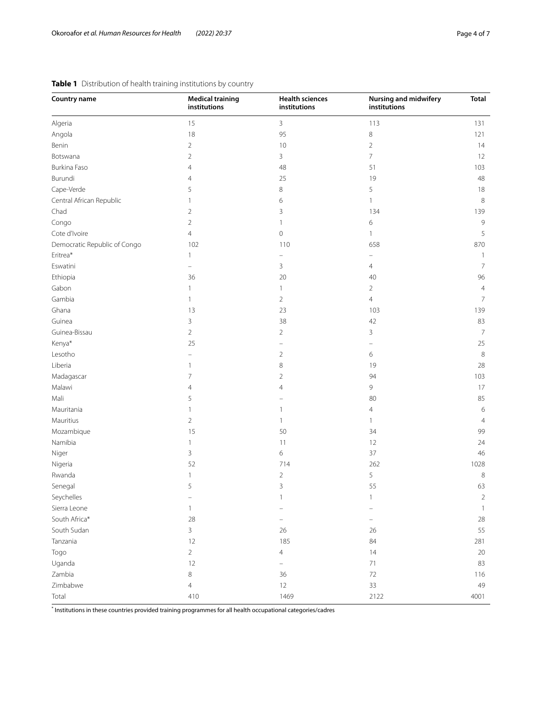| Country name                 | <b>Medical training</b><br>institutions | <b>Health sciences</b><br>institutions | <b>Nursing and midwifery</b><br>institutions | <b>Total</b>   |  |
|------------------------------|-----------------------------------------|----------------------------------------|----------------------------------------------|----------------|--|
| Algeria                      | 15                                      | 3                                      | 113                                          | 131            |  |
| Angola                       | 18                                      | 95                                     | 8                                            | 121            |  |
| Benin                        | $\overline{2}$                          | 10                                     | $\overline{2}$                               | 14             |  |
| Botswana                     | $\overline{2}$                          | 3                                      | 7                                            | 12             |  |
| Burkina Faso                 | 4                                       | 48                                     | 51                                           | 103            |  |
| Burundi                      | 4                                       | 25                                     | 19                                           | 48             |  |
| Cape-Verde                   | 5                                       | 8                                      | 5                                            | 18             |  |
| Central African Republic     | 1                                       | 6                                      | 1                                            | $\,8\,$        |  |
| Chad                         | $\overline{2}$                          | 3                                      | 134                                          | 139            |  |
| Congo                        | $\overline{2}$                          | $\mathbf{1}$                           | 6                                            | 9              |  |
| Cote d'Ivoire                | $\overline{4}$                          | 0                                      | 1                                            | 5              |  |
| Democratic Republic of Congo | 102                                     | 110                                    | 658                                          | 870            |  |
| Eritrea*                     | 1                                       |                                        |                                              | $\mathbf{1}$   |  |
| Eswatini                     |                                         | 3                                      | 4                                            | $\overline{7}$ |  |
| Ethiopia                     | 36                                      | 20                                     | 40                                           | 96             |  |
| Gabon                        | 1                                       | 1                                      | $\overline{2}$                               | $\overline{4}$ |  |
| Gambia                       | 1                                       | $\overline{2}$                         | $\overline{4}$                               | $\overline{7}$ |  |
| Ghana                        | 13                                      | 23                                     | 103                                          | 139            |  |
| Guinea                       | 3                                       | 38                                     | 42                                           | 83             |  |
| Guinea-Bissau                | $\overline{2}$                          | $\overline{2}$                         | 3                                            | $\overline{7}$ |  |
| Kenya*                       | 25                                      |                                        |                                              | 25             |  |
| Lesotho                      |                                         | $\overline{2}$                         | 6                                            | $\,8\,$        |  |
| Liberia                      | 1                                       | 8                                      | 19                                           | 28             |  |
| Madagascar                   | 7                                       | $\overline{2}$                         | 94                                           | 103            |  |
| Malawi                       | $\overline{4}$                          | $\overline{4}$                         | 9                                            | 17             |  |
| Mali                         | 5                                       |                                        | 80                                           | 85             |  |
| Mauritania                   | 1                                       | 1                                      | $\overline{4}$                               | 6              |  |
| Mauritius                    | $\overline{2}$                          | 1                                      | 1                                            | $\overline{4}$ |  |
| Mozambique                   | 15                                      | 50                                     | 34                                           | 99             |  |
| Namibia                      | 1                                       | 11                                     | 12                                           | 24             |  |
| Niger                        | 3                                       | 6                                      | 37                                           | $46\,$         |  |
| Nigeria                      | 52                                      | 714                                    | 262                                          | 1028           |  |
| Rwanda                       | 1                                       | $\overline{c}$                         | 5                                            | $\,8\,$        |  |
| Senegal                      | 5                                       | 3                                      | 55                                           | 63             |  |
| Seychelles                   |                                         | 1                                      | $\mathbf{1}$                                 | $\overline{c}$ |  |
| Sierra Leone                 | $\mathbf{1}$                            |                                        |                                              | $\mathbf{1}$   |  |
| South Africa*                | 28                                      | $\overline{\phantom{0}}$               |                                              | 28             |  |
| South Sudan                  | $\mathbf{3}$                            | 26                                     | 26                                           | 55             |  |
| Tanzania                     | 12                                      | 185                                    | 84                                           | 281            |  |
| Togo                         | $\overline{c}$                          | $\overline{4}$                         | 14                                           | $20\,$         |  |
| Uganda                       | 12                                      | $\overline{\phantom{0}}$               | $71\,$                                       | 83             |  |
| Zambia                       | $\,8\,$                                 | 36                                     | $72\,$                                       | 116            |  |
| Zimbabwe                     | $\overline{4}$                          | 12                                     | 33                                           | 49             |  |
| Total                        | 410                                     | 1469                                   | 2122                                         | 4001           |  |

### <span id="page-3-0"></span>**Table 1** Distribution of health training institutions by country

\* Institutions in these countries provided training programmes for all health occupational categories/cadres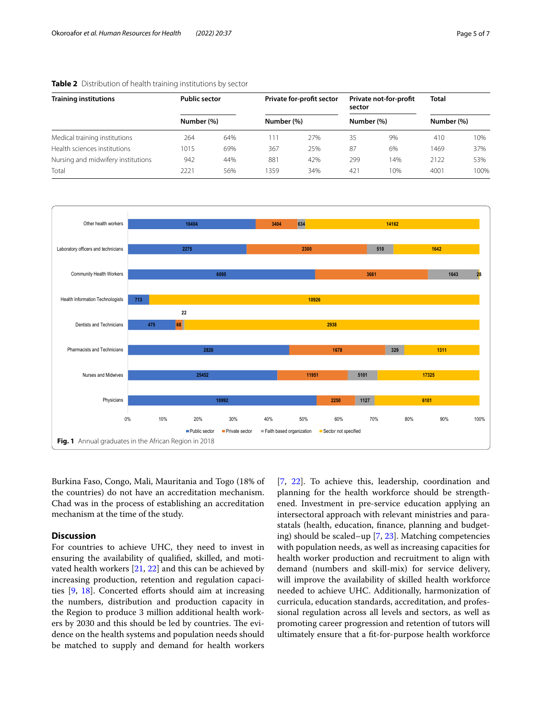| <b>Training institutions</b><br>Medical training institutions | <b>Public sector</b><br>Number (%) |      | Private for-profit sector<br>Number (%) |     | Private not-for-profit<br>sector<br>Number (%) |     | <b>Total</b><br>Number (%) |      |
|---------------------------------------------------------------|------------------------------------|------|-----------------------------------------|-----|------------------------------------------------|-----|----------------------------|------|
|                                                               |                                    |      |                                         |     |                                                |     |                            |      |
|                                                               | Health sciences institutions       | 1015 | 69%                                     | 367 | 25%                                            | 87  | 6%                         | 1469 |
| Nursing and midwifery institutions                            | 942                                | 44%  | 881                                     | 42% | 299                                            | 14% | 2122                       | 53%  |
| Total                                                         | 2221                               | 56%  | 359                                     | 34% | 421                                            | 10% | 4001                       | 100% |

#### <span id="page-4-0"></span>**Table 2** Distribution of health training institutions by sector



<span id="page-4-1"></span>Burkina Faso, Congo, Mali, Mauritania and Togo (18% of the countries) do not have an accreditation mechanism. Chad was in the process of establishing an accreditation mechanism at the time of the study.

#### **Discussion**

For countries to achieve UHC, they need to invest in ensuring the availability of qualifed, skilled, and motivated health workers [[21,](#page-6-16) [22](#page-6-17)] and this can be achieved by increasing production, retention and regulation capacities [\[9](#page-6-7), [18](#page-6-18)]. Concerted eforts should aim at increasing the numbers, distribution and production capacity in the Region to produce 3 million additional health workers by 2030 and this should be led by countries. The evidence on the health systems and population needs should be matched to supply and demand for health workers [[7,](#page-6-5) [22](#page-6-17)]. To achieve this, leadership, coordination and planning for the health workforce should be strengthened. Investment in pre-service education applying an intersectoral approach with relevant ministries and parastatals (health, education, fnance, planning and budgeting) should be scaled–up [\[7](#page-6-5), [23\]](#page-6-19). Matching competencies with population needs, as well as increasing capacities for health worker production and recruitment to align with demand (numbers and skill-mix) for service delivery, will improve the availability of skilled health workforce needed to achieve UHC. Additionally, harmonization of curricula, education standards, accreditation, and professional regulation across all levels and sectors, as well as promoting career progression and retention of tutors will ultimately ensure that a ft-for-purpose health workforce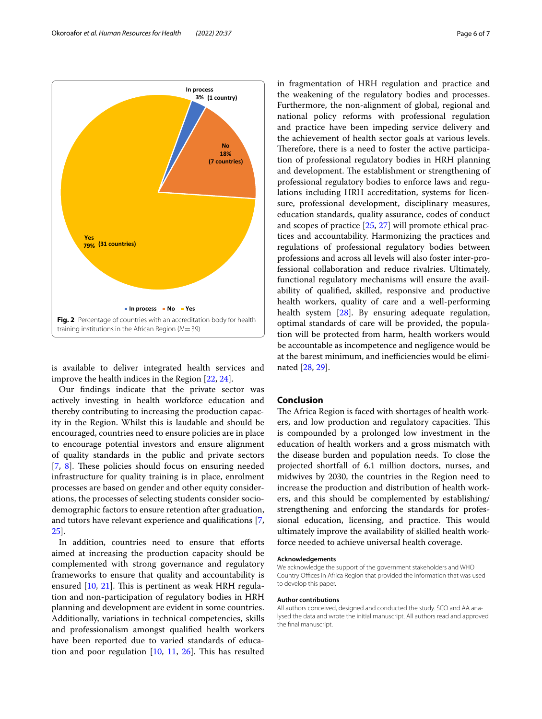<span id="page-5-0"></span>is available to deliver integrated health services and improve the health indices in the Region [[22,](#page-6-17) [24](#page-6-20)].

Our fndings indicate that the private sector was actively investing in health workforce education and thereby contributing to increasing the production capacity in the Region. Whilst this is laudable and should be encouraged, countries need to ensure policies are in place to encourage potential investors and ensure alignment of quality standards in the public and private sectors [[7,](#page-6-5) [8](#page-6-6)]. These policies should focus on ensuring needed infrastructure for quality training is in place, enrolment processes are based on gender and other equity considerations, the processes of selecting students consider sociodemographic factors to ensure retention after graduation, and tutors have relevant experience and qualifcations [\[7](#page-6-5), [25\]](#page-6-21).

In addition, countries need to ensure that efforts aimed at increasing the production capacity should be complemented with strong governance and regulatory frameworks to ensure that quality and accountability is ensured  $[10, 21]$  $[10, 21]$  $[10, 21]$  $[10, 21]$ . This is pertinent as weak HRH regulation and non-participation of regulatory bodies in HRH planning and development are evident in some countries. Additionally, variations in technical competencies, skills and professionalism amongst qualifed health workers have been reported due to varied standards of education and poor regulation  $[10, 11, 26]$  $[10, 11, 26]$  $[10, 11, 26]$  $[10, 11, 26]$  $[10, 11, 26]$ . This has resulted in fragmentation of HRH regulation and practice and the weakening of the regulatory bodies and processes. Furthermore, the non-alignment of global, regional and national policy reforms with professional regulation and practice have been impeding service delivery and the achievement of health sector goals at various levels. Therefore, there is a need to foster the active participation of professional regulatory bodies in HRH planning and development. The establishment or strengthening of professional regulatory bodies to enforce laws and regulations including HRH accreditation, systems for licensure, professional development, disciplinary measures, education standards, quality assurance, codes of conduct and scopes of practice [[25](#page-6-21), [27](#page-6-24)] will promote ethical practices and accountability. Harmonizing the practices and regulations of professional regulatory bodies between professions and across all levels will also foster inter-professional collaboration and reduce rivalries. Ultimately, functional regulatory mechanisms will ensure the availability of qualifed, skilled, responsive and productive health workers, quality of care and a well-performing health system [\[28\]](#page-6-25). By ensuring adequate regulation, optimal standards of care will be provided, the population will be protected from harm, health workers would be accountable as incompetence and negligence would be at the barest minimum, and inefficiencies would be eliminated [\[28,](#page-6-25) [29](#page-6-26)].

#### **Conclusion**

The Africa Region is faced with shortages of health workers, and low production and regulatory capacities. This is compounded by a prolonged low investment in the education of health workers and a gross mismatch with the disease burden and population needs. To close the projected shortfall of 6.1 million doctors, nurses, and midwives by 2030, the countries in the Region need to increase the production and distribution of health workers, and this should be complemented by establishing/ strengthening and enforcing the standards for professional education, licensing, and practice. This would ultimately improve the availability of skilled health workforce needed to achieve universal health coverage.

#### **Acknowledgements**

We acknowledge the support of the government stakeholders and WHO Country Offices in Africa Region that provided the information that was used to develop this paper.

#### **Author contributions**

All authors conceived, designed and conducted the study. SCO and AA analysed the data and wrote the initial manuscript. All authors read and approved the fnal manuscript.